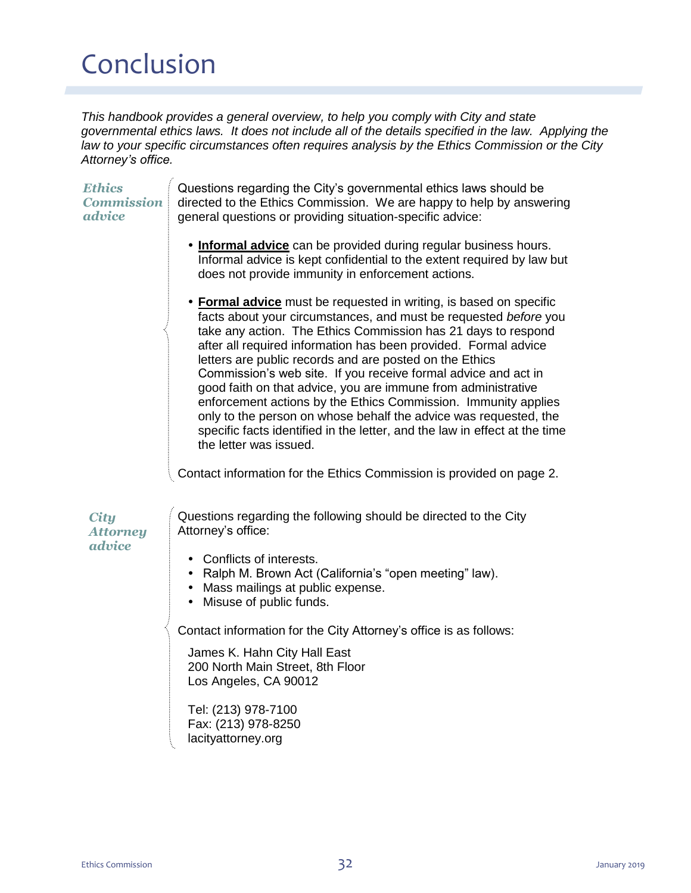# Conclusion

*This handbook provides a general overview, to help you comply with City and state governmental ethics laws. It does not include all of the details specified in the law. Applying the law to your specific circumstances often requires analysis by the Ethics Commission or the City Attorney's office.* 

| <b>Ethics</b><br><b>Commission</b><br>advice                                                                                                                                                                                                                                                                                                                                                                                                                                                                                        | Questions regarding the City's governmental ethics laws should be<br>directed to the Ethics Commission. We are happy to help by answering<br>general questions or providing situation-specific advice:                                                                                                                                                                                                                                                                                                                                                                                                                                                                                                                 |
|-------------------------------------------------------------------------------------------------------------------------------------------------------------------------------------------------------------------------------------------------------------------------------------------------------------------------------------------------------------------------------------------------------------------------------------------------------------------------------------------------------------------------------------|------------------------------------------------------------------------------------------------------------------------------------------------------------------------------------------------------------------------------------------------------------------------------------------------------------------------------------------------------------------------------------------------------------------------------------------------------------------------------------------------------------------------------------------------------------------------------------------------------------------------------------------------------------------------------------------------------------------------|
|                                                                                                                                                                                                                                                                                                                                                                                                                                                                                                                                     | . Informal advice can be provided during regular business hours.<br>Informal advice is kept confidential to the extent required by law but<br>does not provide immunity in enforcement actions.                                                                                                                                                                                                                                                                                                                                                                                                                                                                                                                        |
| $\label{eq:recon} \begin{split} \mathcal{L}_{\text{intra}}(\mathcal{L}_{\text{intra}}(\mathcal{L}_{\text{outtra}}(\mathcal{L}_{\text{outtra}}(\mathcal{L}_{\text{outtra}}(\mathcal{L}_{\text{outtra}}(\mathcal{L}_{\text{outtra}}(\mathcal{L}_{\text{outtra}}(\mathcal{L}_{\text{outtra}}(\mathcal{L}_{\text{outtra}}(\mathcal{L}_{\text{outtra}}(\mathcal{L}_{\text{outtra}}(\mathcal{L}_{\text{outtra}}(\mathcal{L}_{\text{outtra}}(\mathcal{L}_{\text{outtra}}(\mathcal{L}_{\text{outtra}}(\mathcal{L}_{\text{outtra}}(\mathcal$ | • Formal advice must be requested in writing, is based on specific<br>facts about your circumstances, and must be requested before you<br>take any action. The Ethics Commission has 21 days to respond<br>after all required information has been provided. Formal advice<br>letters are public records and are posted on the Ethics<br>Commission's web site. If you receive formal advice and act in<br>good faith on that advice, you are immune from administrative<br>enforcement actions by the Ethics Commission. Immunity applies<br>only to the person on whose behalf the advice was requested, the<br>specific facts identified in the letter, and the law in effect at the time<br>the letter was issued. |
|                                                                                                                                                                                                                                                                                                                                                                                                                                                                                                                                     | Contact information for the Ethics Commission is provided on page 2.                                                                                                                                                                                                                                                                                                                                                                                                                                                                                                                                                                                                                                                   |
| <b>City</b><br><b>Attorney</b><br>advice                                                                                                                                                                                                                                                                                                                                                                                                                                                                                            | Questions regarding the following should be directed to the City<br>Attorney's office:                                                                                                                                                                                                                                                                                                                                                                                                                                                                                                                                                                                                                                 |
|                                                                                                                                                                                                                                                                                                                                                                                                                                                                                                                                     | • Conflicts of interests.<br>• Ralph M. Brown Act (California's "open meeting" law).<br>• Mass mailings at public expense.<br>• Misuse of public funds.                                                                                                                                                                                                                                                                                                                                                                                                                                                                                                                                                                |
|                                                                                                                                                                                                                                                                                                                                                                                                                                                                                                                                     | Contact information for the City Attorney's office is as follows:                                                                                                                                                                                                                                                                                                                                                                                                                                                                                                                                                                                                                                                      |
|                                                                                                                                                                                                                                                                                                                                                                                                                                                                                                                                     | James K. Hahn City Hall East<br>200 North Main Street, 8th Floor<br>Los Angeles, CA 90012                                                                                                                                                                                                                                                                                                                                                                                                                                                                                                                                                                                                                              |
|                                                                                                                                                                                                                                                                                                                                                                                                                                                                                                                                     | Tel: (213) 978-7100<br>Fax: (213) 978-8250<br>lacityattorney.org                                                                                                                                                                                                                                                                                                                                                                                                                                                                                                                                                                                                                                                       |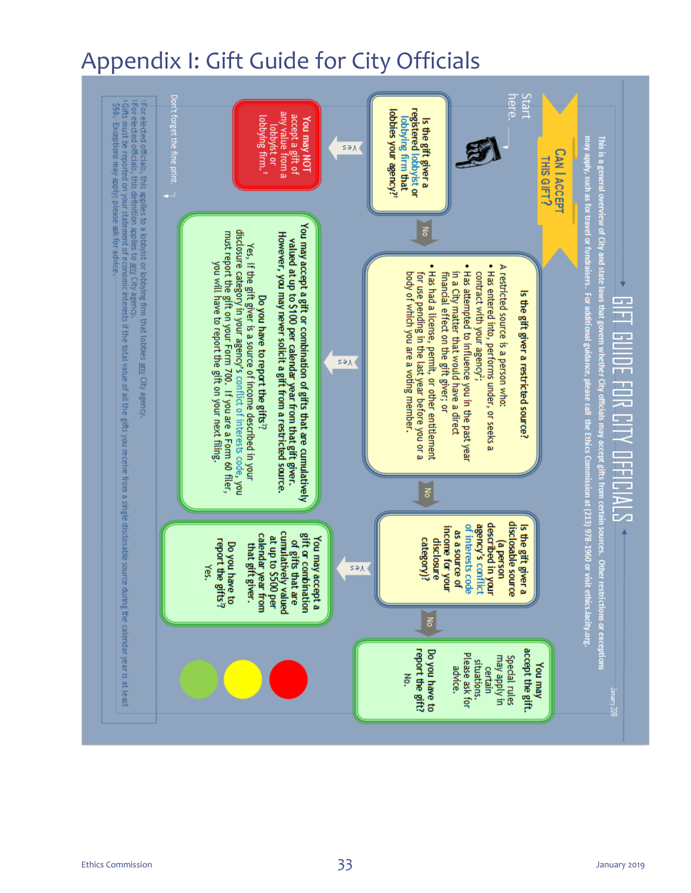## Appendix I: Gift Guide for City Officials